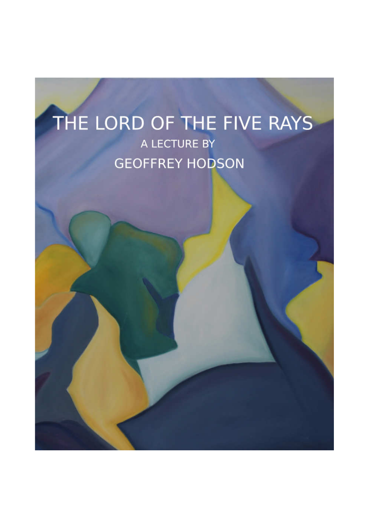# THE LORD OF THE FIVE RAYS A LECTURE BY **GEOFFREY HODSON**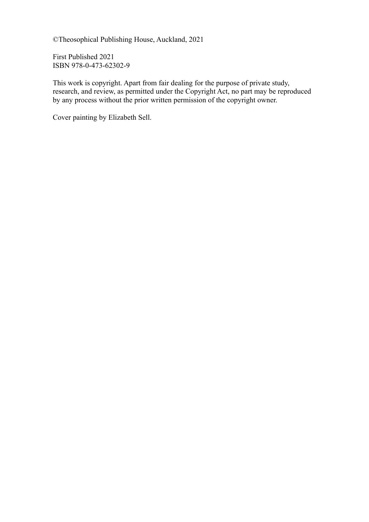©Theosophical Publishing House, Auckland, 2021

First Published 2021 ISBN 978-0-473-62302-9

This work is copyright. Apart from fair dealing for the purpose of private study, research, and review, as permitted under the Copyright Act, no part may be reproduced by any process without the prior written permission of the copyright owner.

Cover painting by Elizabeth Sell.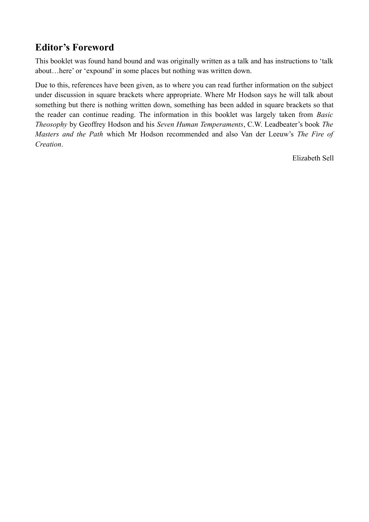# **Editor's Foreword**

This booklet was found hand bound and was originally written as a talk and has instructions to 'talk about…here' or 'expound' in some places but nothing was written down.

Due to this, references have been given, as to where you can read further information on the subject under discussion in square brackets where appropriate. Where Mr Hodson says he will talk about something but there is nothing written down, something has been added in square brackets so that the reader can continue reading. The information in this booklet was largely taken from *Basic Theosophy* by Geoffrey Hodson and his *Seven Human Temperaments*, C.W. Leadbeater's book *The Masters and the Path* which Mr Hodson recommended and also Van der Leeuw's *The Fire of Creation*.

Elizabeth Sell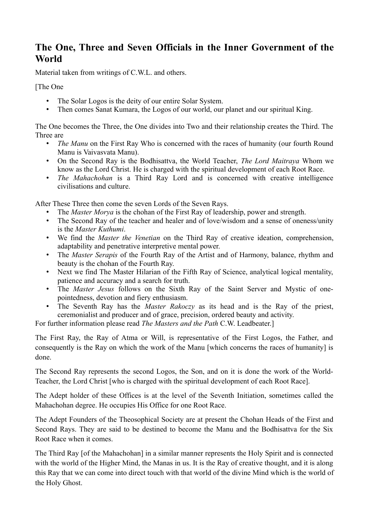### **The One, Three and Seven Officials in the Inner Government of the World**

Material taken from writings of C.W.L. and others.

[The One

- The Solar Logos is the deity of our entire Solar System.
- Then comes Sanat Kumara, the Logos of our world, our planet and our spiritual King.

The One becomes the Three, the One divides into Two and their relationship creates the Third. The Three are

- *The Manu* on the First Ray Who is concerned with the races of humanity (our fourth Round Manu is Vaivasvata Manu).
- On the Second Ray is the Bodhisattva, the World Teacher, *The Lord Maitraya* Whom we know as the Lord Christ. He is charged with the spiritual development of each Root Race.
- *The Mahachohan* is a Third Ray Lord and is concerned with creative intelligence civilisations and culture.

After These Three then come the seven Lords of the Seven Rays.

- The *Master Morya* is the chohan of the First Ray of leadership, power and strength.
- The Second Ray of the teacher and healer and of love/wisdom and a sense of oneness/unity is the *Master Kuthumi*.
- We find the *Master the Venetian* on the Third Ray of creative ideation, comprehension, adaptability and penetrative interpretive mental power.
- The *Master Serapis* of the Fourth Ray of the Artist and of Harmony, balance, rhythm and beauty is the chohan of the Fourth Ray.
- Next we find The Master Hilarian of the Fifth Ray of Science, analytical logical mentality, patience and accuracy and a search for truth.
- The *Master Jesus* follows on the Sixth Ray of the Saint Server and Mystic of onepointedness, devotion and fiery enthusiasm.
- The Seventh Ray has the *Master Rakoczy* as its head and is the Ray of the priest, ceremonialist and producer and of grace, precision, ordered beauty and activity.

For further information please read *The Masters and the Path* C.W. Leadbeater.]

The First Ray, the Ray of Atma or Will, is representative of the First Logos, the Father, and consequently is the Ray on which the work of the Manu [which concerns the races of humanity] is done.

The Second Ray represents the second Logos, the Son, and on it is done the work of the World-Teacher, the Lord Christ [who is charged with the spiritual development of each Root Race].

The Adept holder of these Offices is at the level of the Seventh Initiation, sometimes called the Mahachohan degree. He occupies His Office for one Root Race.

The Adept Founders of the Theosophical Society are at present the Chohan Heads of the First and Second Rays. They are said to be destined to become the Manu and the Bodhisattva for the Six Root Race when it comes.

The Third Ray [of the Mahachohan] in a similar manner represents the Holy Spirit and is connected with the world of the Higher Mind, the Manas in us. It is the Ray of creative thought, and it is along this Ray that we can come into direct touch with that world of the divine Mind which is the world of the Holy Ghost.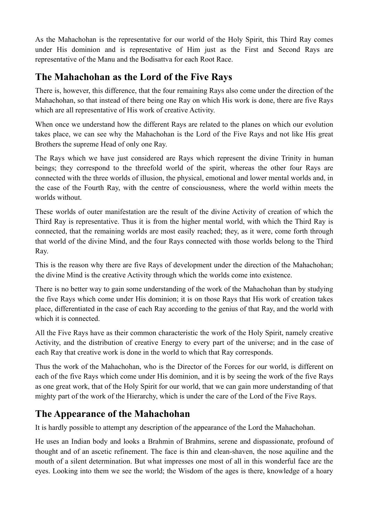As the Mahachohan is the representative for our world of the Holy Spirit, this Third Ray comes under His dominion and is representative of Him just as the First and Second Rays are representative of the Manu and the Bodisattva for each Root Race.

# **The Mahachohan as the Lord of the Five Rays**

There is, however, this difference, that the four remaining Rays also come under the direction of the Mahachohan, so that instead of there being one Ray on which His work is done, there are five Rays which are all representative of His work of creative Activity.

When once we understand how the different Rays are related to the planes on which our evolution takes place, we can see why the Mahachohan is the Lord of the Five Rays and not like His great Brothers the supreme Head of only one Ray.

The Rays which we have just considered are Rays which represent the divine Trinity in human beings; they correspond to the threefold world of the spirit, whereas the other four Rays are connected with the three worlds of illusion, the physical, emotional and lower mental worlds and, in the case of the Fourth Ray, with the centre of consciousness, where the world within meets the worlds without.

These worlds of outer manifestation are the result of the divine Activity of creation of which the Third Ray is representative. Thus it is from the higher mental world, with which the Third Ray is connected, that the remaining worlds are most easily reached; they, as it were, come forth through that world of the divine Mind, and the four Rays connected with those worlds belong to the Third Ray.

This is the reason why there are five Rays of development under the direction of the Mahachohan; the divine Mind is the creative Activity through which the worlds come into existence.

There is no better way to gain some understanding of the work of the Mahachohan than by studying the five Rays which come under His dominion; it is on those Rays that His work of creation takes place, differentiated in the case of each Ray according to the genius of that Ray, and the world with which it is connected.

All the Five Rays have as their common characteristic the work of the Holy Spirit, namely creative Activity, and the distribution of creative Energy to every part of the universe; and in the case of each Ray that creative work is done in the world to which that Ray corresponds.

Thus the work of the Mahachohan, who is the Director of the Forces for our world, is different on each of the five Rays which come under His dominion, and it is by seeing the work of the five Rays as one great work, that of the Holy Spirit for our world, that we can gain more understanding of that mighty part of the work of the Hierarchy, which is under the care of the Lord of the Five Rays.

# **The Appearance of the Mahachohan**

It is hardly possible to attempt any description of the appearance of the Lord the Mahachohan.

He uses an Indian body and looks a Brahmin of Brahmins, serene and dispassionate, profound of thought and of an ascetic refinement. The face is thin and clean-shaven, the nose aquiline and the mouth of a silent determination. But what impresses one most of all in this wonderful face are the eyes. Looking into them we see the world; the Wisdom of the ages is there, knowledge of a hoary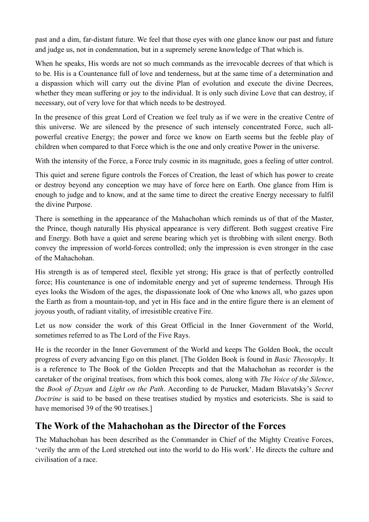past and a dim, far-distant future. We feel that those eyes with one glance know our past and future and judge us, not in condemnation, but in a supremely serene knowledge of That which is.

When he speaks, His words are not so much commands as the irrevocable decrees of that which is to be. His is a Countenance full of love and tenderness, but at the same time of a determination and a dispassion which will carry out the divine Plan of evolution and execute the divine Decrees, whether they mean suffering or joy to the individual. It is only such divine Love that can destroy, if necessary, out of very love for that which needs to be destroyed.

In the presence of this great Lord of Creation we feel truly as if we were in the creative Centre of this universe. We are silenced by the presence of such intensely concentrated Force, such allpowerful creative Energy; the power and force we know on Earth seems but the feeble play of children when compared to that Force which is the one and only creative Power in the universe.

With the intensity of the Force, a Force truly cosmic in its magnitude, goes a feeling of utter control.

This quiet and serene figure controls the Forces of Creation, the least of which has power to create or destroy beyond any conception we may have of force here on Earth. One glance from Him is enough to judge and to know, and at the same time to direct the creative Energy necessary to fulfil the divine Purpose.

There is something in the appearance of the Mahachohan which reminds us of that of the Master, the Prince, though naturally His physical appearance is very different. Both suggest creative Fire and Energy. Both have a quiet and serene bearing which yet is throbbing with silent energy. Both convey the impression of world-forces controlled; only the impression is even stronger in the case of the Mahachohan.

His strength is as of tempered steel, flexible yet strong; His grace is that of perfectly controlled force; His countenance is one of indomitable energy and yet of supreme tenderness. Through His eyes looks the Wisdom of the ages, the dispassionate look of One who knows all, who gazes upon the Earth as from a mountain-top, and yet in His face and in the entire figure there is an element of joyous youth, of radiant vitality, of irresistible creative Fire.

Let us now consider the work of this Great Official in the Inner Government of the World, sometimes referred to as The Lord of the Five Rays.

He is the recorder in the Inner Government of the World and keeps The Golden Book, the occult progress of every advancing Ego on this planet. [The Golden Book is found in *Basic Theosophy*. It is a reference to The Book of the Golden Precepts and that the Mahachohan as recorder is the caretaker of the original treatises, from which this book comes, along with *The Voice of the Silence*, the *Book of Dzyan* and *Light on the Path*. According to de Purucker, Madam Blavatsky's *Secret Doctrine* is said to be based on these treatises studied by mystics and esotericists. She is said to have memorised 39 of the 90 treatises.]

#### **The Work of the Mahachohan as the Director of the Forces**

The Mahachohan has been described as the Commander in Chief of the Mighty Creative Forces, 'verily the arm of the Lord stretched out into the world to do His work'. He directs the culture and civilisation of a race.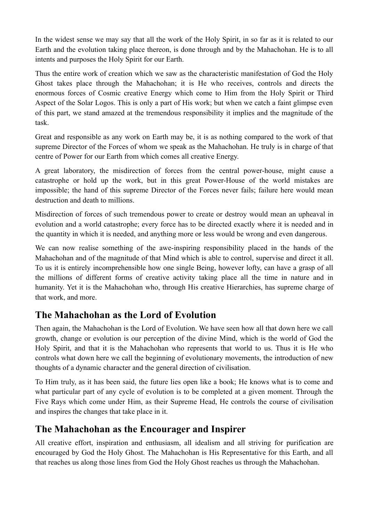In the widest sense we may say that all the work of the Holy Spirit, in so far as it is related to our Earth and the evolution taking place thereon, is done through and by the Mahachohan. He is to all intents and purposes the Holy Spirit for our Earth.

Thus the entire work of creation which we saw as the characteristic manifestation of God the Holy Ghost takes place through the Mahachohan; it is He who receives, controls and directs the enormous forces of Cosmic creative Energy which come to Him from the Holy Spirit or Third Aspect of the Solar Logos. This is only a part of His work; but when we catch a faint glimpse even of this part, we stand amazed at the tremendous responsibility it implies and the magnitude of the task.

Great and responsible as any work on Earth may be, it is as nothing compared to the work of that supreme Director of the Forces of whom we speak as the Mahachohan. He truly is in charge of that centre of Power for our Earth from which comes all creative Energy.

A great laboratory, the misdirection of forces from the central power-house, might cause a catastrophe or hold up the work, but in this great Power-House of the world mistakes are impossible; the hand of this supreme Director of the Forces never fails; failure here would mean destruction and death to millions.

Misdirection of forces of such tremendous power to create or destroy would mean an upheaval in evolution and a world catastrophe; every force has to be directed exactly where it is needed and in the quantity in which it is needed, and anything more or less would be wrong and even dangerous.

We can now realise something of the awe-inspiring responsibility placed in the hands of the Mahachohan and of the magnitude of that Mind which is able to control, supervise and direct it all. To us it is entirely incomprehensible how one single Being, however lofty, can have a grasp of all the millions of different forms of creative activity taking place all the time in nature and in humanity. Yet it is the Mahachohan who, through His creative Hierarchies, has supreme charge of that work, and more.

# **The Mahachohan as the Lord of Evolution**

Then again, the Mahachohan is the Lord of Evolution. We have seen how all that down here we call growth, change or evolution is our perception of the divine Mind, which is the world of God the Holy Spirit, and that it is the Mahachohan who represents that world to us. Thus it is He who controls what down here we call the beginning of evolutionary movements, the introduction of new thoughts of a dynamic character and the general direction of civilisation.

To Him truly, as it has been said, the future lies open like a book; He knows what is to come and what particular part of any cycle of evolution is to be completed at a given moment. Through the Five Rays which come under Him, as their Supreme Head, He controls the course of civilisation and inspires the changes that take place in it.

## **The Mahachohan as the Encourager and Inspirer**

All creative effort, inspiration and enthusiasm, all idealism and all striving for purification are encouraged by God the Holy Ghost. The Mahachohan is His Representative for this Earth, and all that reaches us along those lines from God the Holy Ghost reaches us through the Mahachohan.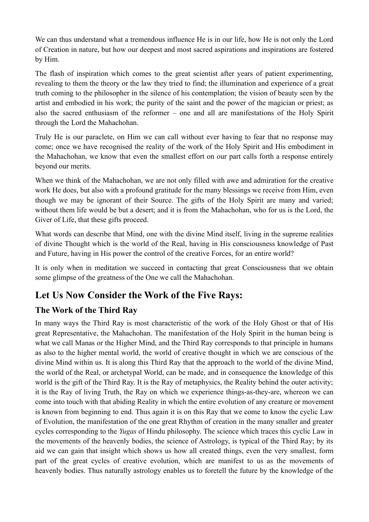We can thus understand what a tremendous influence He is in our life, how He is not only the Lord of Creation in nature, but how our deepest and most sacred aspirations and inspirations are fostered by Him.

The flash of inspiration which comes to the great scientist after years of patient experimenting, revealing to them the theory or the law they tried to find; the illumination and experience of a great truth coming to the philosopher in the silence of his contemplation; the vision of beauty seen by the artist and embodied in his work; the purity of the saint and the power of the magician or priest; as also the sacred enthusiasm of the reformer – one and all are manifestations of the Holy Spirit through the Lord the Mahachohan.

Truly He is our paraclete, on Him we can call without ever having to fear that no response may come; once we have recognised the reality of the work of the Holy Spirit and His embodiment in the Mahachohan, we know that even the smallest effort on our part calls forth a response entirely beyond our merits.

When we think of the Mahachohan, we are not only filled with awe and admiration for the creative work He does, but also with a profound gratitude for the many blessings we receive from Him, even though we may be ignorant of their Source. The gifts of the Holy Spirit are many and varied; without them life would be but a desert; and it is from the Mahachohan, who for us is the Lord, the Giver of Life, that these gifts proceed.

What words can describe that Mind, one with the divine Mind itself, living in the supreme realities of divine Thought which is the world of the Real, having in His consciousness knowledge of Past and Future, having in His power the control of the creative Forces, for an entire world?

It is only when in meditation we succeed in contacting that great Consciousness that we obtain some glimpse of the greatness of the One we call the Mahachohan.

# **Let Us Now Consider the Work of the Five Rays:**

## **The Work of the Third Ray**

In many ways the Third Ray is most characteristic of the work of the Holy Ghost or that of His great Representative, the Mahachohan. The manifestation of the Holy Spirit in the human being is what we call Manas or the Higher Mind, and the Third Ray corresponds to that principle in humans as also to the higher mental world, the world of creative thought in which we are conscious of the divine Mind within us. It is along this Third Ray that the approach to the world of the divine Mind, the world of the Real, or archetypal World, can be made, and in consequence the knowledge of this world is the gift of the Third Ray. It is the Ray of metaphysics, the Reality behind the outer activity; it is the Ray of living Truth, the Ray on which we experience things-as-they-are, whereon we can come into touch with that abiding Reality in which the entire evolution of any creature or movement is known from beginning to end. Thus again it is on this Ray that we come to know the cyclic Law of Evolution, the manifestation of the one great Rhythm of creation in the many smaller and greater cycles corresponding to the *Yugas* of Hindu philosophy. The science which traces this cyclic Law in the movements of the heavenly bodies, the science of Astrology, is typical of the Third Ray; by its aid we can gain that insight which shows us how all created things, even the very smallest, form part of the great cycles of creative evolution, which are manifest to us as the movements of heavenly bodies. Thus naturally astrology enables us to foretell the future by the knowledge of the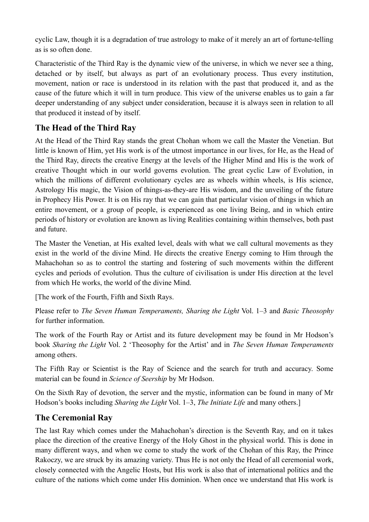cyclic Law, though it is a degradation of true astrology to make of it merely an art of fortune-telling as is so often done.

Characteristic of the Third Ray is the dynamic view of the universe, in which we never see a thing, detached or by itself, but always as part of an evolutionary process. Thus every institution, movement, nation or race is understood in its relation with the past that produced it, and as the cause of the future which it will in turn produce. This view of the universe enables us to gain a far deeper understanding of any subject under consideration, because it is always seen in relation to all that produced it instead of by itself.

#### **The Head of the Third Ray**

At the Head of the Third Ray stands the great Chohan whom we call the Master the Venetian. But little is known of Him, yet His work is of the utmost importance in our lives, for He, as the Head of the Third Ray, directs the creative Energy at the levels of the Higher Mind and His is the work of creative Thought which in our world governs evolution. The great cyclic Law of Evolution, in which the millions of different evolutionary cycles are as wheels within wheels, is His science, Astrology His magic, the Vision of things-as-they-are His wisdom, and the unveiling of the future in Prophecy His Power. It is on His ray that we can gain that particular vision of things in which an entire movement, or a group of people, is experienced as one living Being, and in which entire periods of history or evolution are known as living Realities containing within themselves, both past and future.

The Master the Venetian, at His exalted level, deals with what we call cultural movements as they exist in the world of the divine Mind. He directs the creative Energy coming to Him through the Mahachohan so as to control the starting and fostering of such movements within the different cycles and periods of evolution. Thus the culture of civilisation is under His direction at the level from which He works, the world of the divine Mind.

[The work of the Fourth, Fifth and Sixth Rays.

Please refer to *The Seven Human Temperaments, Sharing the Light* Vol. 1–3 and *Basic Theosophy* for further information.

The work of the Fourth Ray or Artist and its future development may be found in Mr Hodson's book *Sharing the Light* Vol. 2 'Theosophy for the Artist' and in *The Seven Human Temperaments* among others.

The Fifth Ray or Scientist is the Ray of Science and the search for truth and accuracy. Some material can be found in *Science of Seership* by Mr Hodson.

On the Sixth Ray of devotion, the server and the mystic, information can be found in many of Mr Hodson's books including *Sharing the Light* Vol. 1–3, *The Initiate Life* and many others.]

#### **The Ceremonial Ray**

The last Ray which comes under the Mahachohan's direction is the Seventh Ray, and on it takes place the direction of the creative Energy of the Holy Ghost in the physical world. This is done in many different ways, and when we come to study the work of the Chohan of this Ray, the Prince Rakoczy, we are struck by its amazing variety. Thus He is not only the Head of all ceremonial work, closely connected with the Angelic Hosts, but His work is also that of international politics and the culture of the nations which come under His dominion. When once we understand that His work is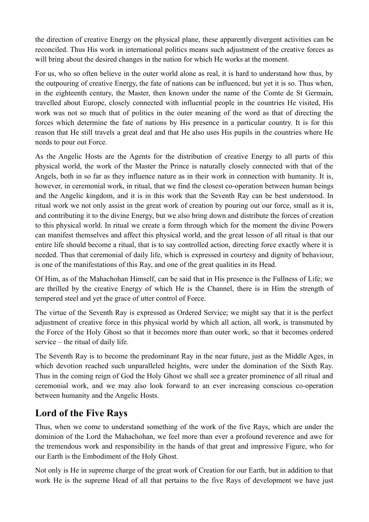the direction of creative Energy on the physical plane, these apparently divergent activities can be reconciled. Thus His work in international politics means such adjustment of the creative forces as will bring about the desired changes in the nation for which He works at the moment.

For us, who so often believe in the outer world alone as real, it is hard to understand how thus, by the outpouring of creative Energy, the fate of nations can be influenced, but yet it is so. Thus when, in the eighteenth century, the Master, then known under the name of the Comte de St Germain, travelled about Europe, closely connected with influential people in the countries He visited, His work was not so much that of politics in the outer meaning of the word as that of directing the forces which determine the fate of nations by His presence in a particular country. It is for this reason that He still travels a great deal and that He also uses His pupils in the countries where He needs to pour out Force.

As the Angelic Hosts are the Agents for the distribution of creative Energy to all parts of this physical world, the work of the Master the Prince is naturally closely connected with that of the Angels, both in so far as they influence nature as in their work in connection with humanity. It is, however, in ceremonial work, in ritual, that we find the closest co-operation between human beings and the Angelic kingdom, and it is in this work that the Seventh Ray can be best understood. In ritual work we not only assist in the great work of creation by pouring out our force, small as it is, and contributing it to the divine Energy, but we also bring down and distribute the forces of creation to this physical world. In ritual we create a form through which for the moment the divine Powers can manifest themselves and affect this physical world, and the great lesson of all ritual is that our entire life should become a ritual, that is to say controlled action, directing force exactly where it is needed. Thus that ceremonial of daily life, which is expressed in courtesy and dignity of behaviour, is one of the manifestations of this Ray, and one of the great qualities in its Head.

Of Him, as of the Mahachohan Himself, can be said that in His presence is the Fullness of Life; we are thrilled by the creative Energy of which He is the Channel, there is in Him the strength of tempered steel and yet the grace of utter control of Force.

The virtue of the Seventh Ray is expressed as Ordered Service; we might say that it is the perfect adjustment of creative force in this physical world by which all action, all work, is transmuted by the Force of the Holy Ghost so that it becomes more than outer work, so that it becomes ordered service – the ritual of daily life.

The Seventh Ray is to become the predominant Ray in the near future, just as the Middle Ages, in which devotion reached such unparalleled heights, were under the domination of the Sixth Ray. Thus in the coming reign of God the Holy Ghost we shall see a greater prominence of all ritual and ceremonial work, and we may also look forward to an ever increasing conscious co-operation between humanity and the Angelic Hosts.

# **Lord of the Five Rays**

Thus, when we come to understand something of the work of the five Rays, which are under the dominion of the Lord the Mahachohan, we feel more than ever a profound reverence and awe for the tremendous work and responsibility in the hands of that great and impressive Figure, who for our Earth is the Embodiment of the Holy Ghost.

Not only is He in supreme charge of the great work of Creation for our Earth, but in addition to that work He is the supreme Head of all that pertains to the five Rays of development we have just